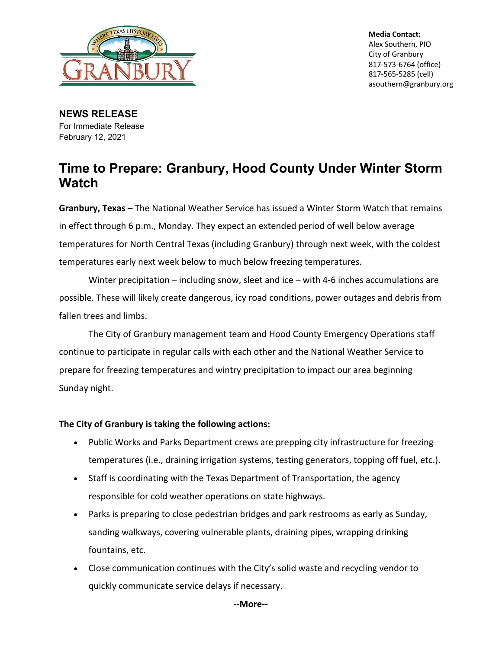

**Media Contact:** Alex Southern, PIO City of Granbury 817-573-6764 (office) 817-565-5285 (cell) asouthern@granbury.org

**NEWS RELEASE** For Immediate Release February 12, 2021

## **Time to Prepare: Granbury, Hood County Under Winter Storm Watch**

**Granbury, Texas –** The National Weather Service has issued a Winter Storm Watch that remains in effect through 6 p.m., Monday. They expect an extended period of well below average temperatures for North Central Texas (including Granbury) through next week, with the coldest temperatures early next week below to much below freezing temperatures.

Winter precipitation – including snow, sleet and ice – with 4-6 inches accumulations are possible. These will likely create dangerous, icy road conditions, power outages and debris from fallen trees and limbs.

The City of Granbury management team and Hood County Emergency Operations staff continue to participate in regular calls with each other and the National Weather Service to prepare for freezing temperatures and wintry precipitation to impact our area beginning Sunday night.

## **The City of Granbury is taking the following actions:**

- Public Works and Parks Department crews are prepping city infrastructure for freezing temperatures (i.e., draining irrigation systems, testing generators, topping off fuel, etc.).
- Staff is coordinating with the Texas Department of Transportation, the agency responsible for cold weather operations on state highways.
- Parks is preparing to close pedestrian bridges and park restrooms as early as Sunday, sanding walkways, covering vulnerable plants, draining pipes, wrapping drinking fountains, etc.
- Close communication continues with the City's solid waste and recycling vendor to quickly communicate service delays if necessary.

**--More--**